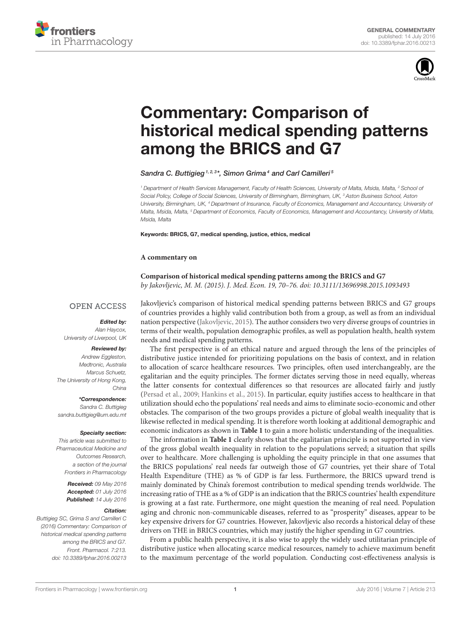



# Commentary: Comparison of [historical medical spending patterns](http://journal.frontiersin.org/article/10.3389/fphar.2016.00213/full) among the BRICS and G7

[Sandra C. Buttigieg](http://loop.frontiersin.org/people/333168/overview)<sup>1,2,3\*</sup>, [Simon Grima](http://loop.frontiersin.org/people/348395/overview)<sup>4</sup> and [Carl Camilleri](http://loop.frontiersin.org/people/347309/overview)<sup>5</sup>

*<sup>1</sup> Department of Health Services Management, Faculty of Health Sciences, University of Malta, Msida, Malta, <sup>2</sup> School of Social Policy, College of Social Sciences, University of Birmingham, Birmingham, UK, <sup>3</sup> Aston Business School, Aston University, Birmingham, UK, <sup>4</sup> Department of Insurance, Faculty of Economics, Management and Accountancy, University of Malta, Msida, Malta, <sup>5</sup> Department of Economics, Faculty of Economics, Management and Accountancy, University of Malta, Msida, Malta*

Keywords: BRICS, G7, medical spending, justice, ethics, medical

### **A commentary on**

**Comparison of historical medical spending patterns among the BRICS and G7** by Jakovljevic, M. M. (2015). J. Med. Econ. 19, 70–76. doi: 10.3111/13696998.2015.1093493

# **OPEN ACCESS**

## Edited by:

*Alan Haycox, University of Liverpool, UK*

## Reviewed by:

*Andrew Eggleston, Medtronic, Australia Marcus Schuetz, The University of Hong Kong, China*

\*Correspondence:

*Sandra C. Buttigieg [sandra.buttigieg@um.edu.mt](mailto:sandra.buttigieg@um.edu.mt)*

#### Specialty section:

*This article was submitted to Pharmaceutical Medicine and Outcomes Research, a section of the journal Frontiers in Pharmacology*

> Received: *09 May 2016* Accepted: *01 July 2016* Published: *14 July 2016*

## Citation:

*Buttigieg SC, Grima S and Camilleri C (2016) Commentary: Comparison of historical medical spending patterns among the BRICS and G7. Front. Pharmacol. 7:213. doi: [10.3389/fphar.2016.00213](http://dx.doi.org/10.3389/fphar.2016.00213)* Jakovljevic's comparison of historical medical spending patterns between BRICS and G7 groups of countries provides a highly valid contribution both from a group, as well as from an individual nation perspective [\(Jakovljevic, 2015\)](#page-2-0). The author considers two very diverse groups of countries in terms of their wealth, population demographic profiles, as well as population health, health system needs and medical spending patterns.

The first perspective is of an ethical nature and argued through the lens of the principles of distributive justice intended for prioritizing populations on the basis of context, and in relation to allocation of scarce healthcare resources. Two principles, often used interchangeably, are the egalitarian and the equity principles. The former dictates serving those in need equally, whereas the latter consents for contextual differences so that resources are allocated fairly and justly [\(Persad et al., 2009;](#page-2-1) [Hankins et al., 2015\)](#page-1-0). In particular, equity justifies access to healthcare in that utilization should echo the populations' real needs and aims to eliminate socio-economic and other obstacles. The comparison of the two groups provides a picture of global wealth inequality that is likewise reflected in medical spending. It is therefore worth looking at additional demographic and economic indicators as shown in **[Table 1](#page-1-1)** to gain a more holistic understanding of the inequalities.

The information in **[Table 1](#page-1-1)** clearly shows that the egalitarian principle is not supported in view of the gross global wealth inequality in relation to the populations served; a situation that spills over to healthcare. More challenging is upholding the equity principle in that one assumes that the BRICS populations' real needs far outweigh those of G7 countries, yet their share of Total Health Expenditure (THE) as % of GDP is far less. Furthermore, the BRICS upward trend is mainly dominated by China's foremost contribution to medical spending trends worldwide. The increasing ratio of THE as a % of GDP is an indication that the BRICS countries' health expenditure is growing at a fast rate. Furthermore, one might question the meaning of real need. Population aging and chronic non-communicable diseases, referred to as "prosperity" diseases, appear to be key expensive drivers for G7 countries. However, Jakovljevic also records a historical delay of these drivers on THE in BRICS countries, which may justify the higher spending in G7 countries.

From a public health perspective, it is also wise to apply the widely used utilitarian principle of distributive justice when allocating scarce medical resources, namely to achieve maximum benefit to the maximum percentage of the world population. Conducting cost-effectiveness analysis is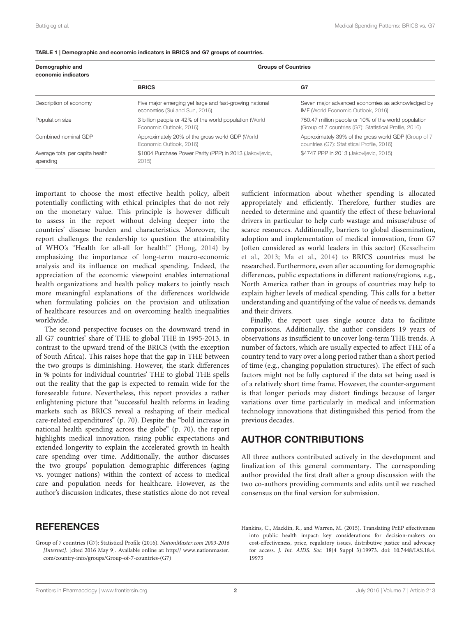| Demographic and<br>economic indicators      | <b>Groups of Countries</b>                                                               |                                                                                                                |
|---------------------------------------------|------------------------------------------------------------------------------------------|----------------------------------------------------------------------------------------------------------------|
|                                             | <b>BRICS</b>                                                                             | G7                                                                                                             |
| Description of economy                      | Five major emerging yet large and fast-growing national<br>economies (Sui and Sun, 2016) | Seven major advanced economies as acknowledged by<br>IMF (World Economic Outlook, 2016)                        |
| Population size                             | 3 billion people or 42% of the world population (World<br>Economic Outlook, 2016)        | 750.47 million people or 10% of the world population<br>(Group of 7 countries (G7): Statistical Profile, 2016) |
| Combined nominal GDP                        | Approximately 20% of the gross world GDP (World<br>Economic Outlook, 2016)               | Approximately 39% of the gross world GDP (Group of 7<br>countries (G7): Statistical Profile, 2016)             |
| Average total per capita health<br>spending | \$1004 Purchase Power Parity (PPP) in 2013 (Jakovljevic,<br>2015                         | \$4747 PPP in 2013 (Jakovljevic, 2015)                                                                         |

#### <span id="page-1-1"></span>TABLE 1 | Demographic and economic indicators in BRICS and G7 groups of countries.

important to choose the most effective health policy, albeit potentially conflicting with ethical principles that do not rely on the monetary value. This principle is however difficult to assess in the report without delving deeper into the countries' disease burden and characteristics. Moreover, the report challenges the readership to question the attainability of WHO's "Health for all-all for health!" [\(Hong, 2014\)](#page-2-4) by emphasizing the importance of long-term macro-economic analysis and its influence on medical spending. Indeed, the appreciation of the economic viewpoint enables international health organizations and health policy makers to jointly reach more meaningful explanations of the differences worldwide when formulating policies on the provision and utilization of healthcare resources and on overcoming health inequalities worldwide.

The second perspective focuses on the downward trend in all G7 countries' share of THE to global THE in 1995-2013, in contrast to the upward trend of the BRICS (with the exception of South Africa). This raises hope that the gap in THE between the two groups is diminishing. However, the stark differences in % points for individual countries' THE to global THE spells out the reality that the gap is expected to remain wide for the foreseeable future. Nevertheless, this report provides a rather enlightening picture that "successful health reforms in leading markets such as BRICS reveal a reshaping of their medical care-related expenditures" (p. 70). Despite the "bold increase in national health spending across the globe" (p. 70), the report highlights medical innovation, rising public expectations and extended longevity to explain the accelerated growth in health care spending over time. Additionally, the author discusses the two groups' population demographic differences (aging vs. younger nations) within the context of access to medical care and population needs for healthcare. However, as the author's discussion indicates, these statistics alone do not reveal

# **REFERENCES**

<span id="page-1-2"></span>Group of 7 countries (G7): Statistical Profile (2016). NationMaster.com 2003-2016 [Internet]. [\[cited 2016 May 9\]. Available online at: http:// www.nationmaster.](http://www.nationmaster.com/country-info/groups/Group-of-7-countries-(G7)) com/country-info/groups/Group-of-7-countries-(G7)

sufficient information about whether spending is allocated appropriately and efficiently. Therefore, further studies are needed to determine and quantify the effect of these behavioral drivers in particular to help curb wastage and misuse/abuse of scarce resources. Additionally, barriers to global dissemination, adoption and implementation of medical innovation, from G7 (often considered as world leaders in this sector) (Kesselheim et al., [2013;](#page-2-5) [Ma et al., 2014\)](#page-2-6) to BRICS countries must be researched. Furthermore, even after accounting for demographic differences, public expectations in different nations/regions, e.g., North America rather than in groups of countries may help to explain higher levels of medical spending. This calls for a better understanding and quantifying of the value of needs vs. demands and their drivers.

Finally, the report uses single source data to facilitate comparisons. Additionally, the author considers 19 years of observations as insufficient to uncover long-term THE trends. A number of factors, which are usually expected to affect THE of a country tend to vary over a long period rather than a short period of time (e.g., changing population structures). The effect of such factors might not be fully captured if the data set being used is of a relatively short time frame. However, the counter-argument is that longer periods may distort findings because of larger variations over time particularly in medical and information technology innovations that distinguished this period from the previous decades.

# AUTHOR CONTRIBUTIONS

All three authors contributed actively in the development and finalization of this general commentary. The corresponding author provided the first draft after a group discussion with the two co-authors providing comments and edits until we reached consensus on the final version for submission.

<span id="page-1-0"></span>Hankins, C., Macklin, R., and Warren, M. (2015). Translating PrEP effectiveness into public health impact: key considerations for decision-makers on cost-effectiveness, price, regulatory issues, distributive justice and advocacy for access. J. Int. AIDS. Soc. 18(4 Suppl 3):19973. doi: 10.7448/IAS.18.4. 19973